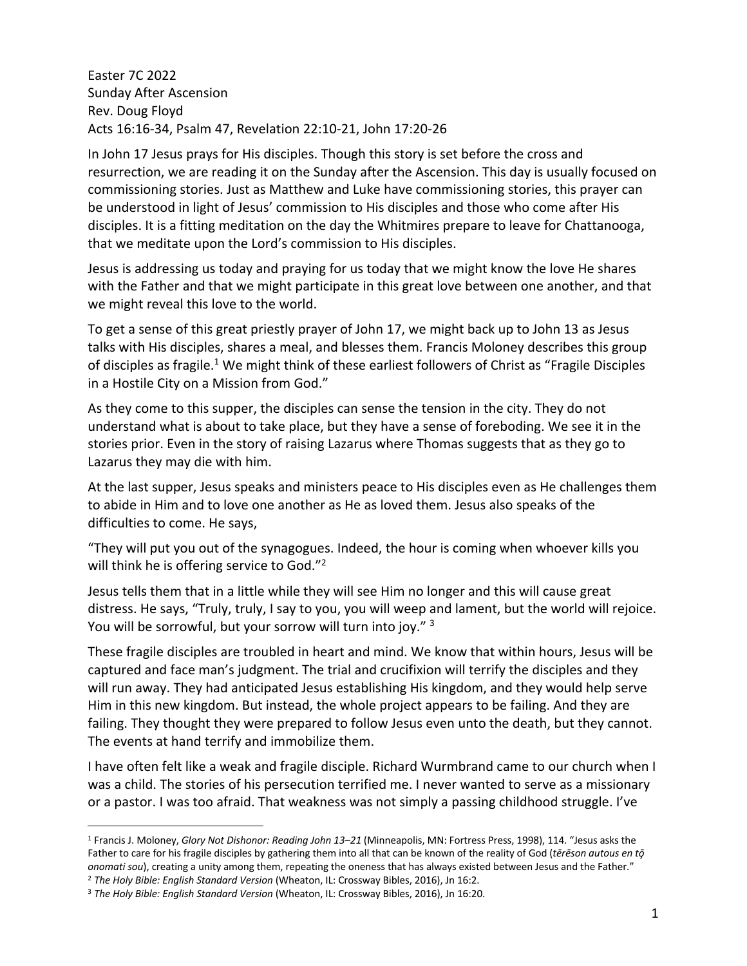Easter 7C 2022 Sunday After Ascension Rev. Doug Floyd Acts 16:16-34, Psalm 47, Revelation 22:10-21, John 17:20-26

In John 17 Jesus prays for His disciples. Though this story is set before the cross and resurrection, we are reading it on the Sunday after the Ascension. This day is usually focused on commissioning stories. Just as Matthew and Luke have commissioning stories, this prayer can be understood in light of Jesus' commission to His disciples and those who come after His disciples. It is a fitting meditation on the day the Whitmires prepare to leave for Chattanooga, that we meditate upon the Lord's commission to His disciples.

Jesus is addressing us today and praying for us today that we might know the love He shares with the Father and that we might participate in this great love between one another, and that we might reveal this love to the world.

To get a sense of this great priestly prayer of John 17, we might back up to John 13 as Jesus talks with His disciples, shares a meal, and blesses them. Francis Moloney describes this group of disciples as fragile.<sup>1</sup> We might think of these earliest followers of Christ as "Fragile Disciples in a Hostile City on a Mission from God."

As they come to this supper, the disciples can sense the tension in the city. They do not understand what is about to take place, but they have a sense of foreboding. We see it in the stories prior. Even in the story of raising Lazarus where Thomas suggests that as they go to Lazarus they may die with him.

At the last supper, Jesus speaks and ministers peace to His disciples even as He challenges them to abide in Him and to love one another as He as loved them. Jesus also speaks of the difficulties to come. He says,

"They will put you out of the synagogues. Indeed, the hour is coming when whoever kills you will think he is offering service to God."<sup>2</sup>

Jesus tells them that in a little while they will see Him no longer and this will cause great distress. He says, "Truly, truly, I say to you, you will weep and lament, but the world will rejoice. You will be sorrowful, but your sorrow will turn into joy." 3

These fragile disciples are troubled in heart and mind. We know that within hours, Jesus will be captured and face man's judgment. The trial and crucifixion will terrify the disciples and they will run away. They had anticipated Jesus establishing His kingdom, and they would help serve Him in this new kingdom. But instead, the whole project appears to be failing. And they are failing. They thought they were prepared to follow Jesus even unto the death, but they cannot. The events at hand terrify and immobilize them.

I have often felt like a weak and fragile disciple. Richard Wurmbrand came to our church when I was a child. The stories of his persecution terrified me. I never wanted to serve as a missionary or a pastor. I was too afraid. That weakness was not simply a passing childhood struggle. I've

<sup>1</sup> Francis J. Moloney, *Glory Not Dishonor: Reading John 13–21* (Minneapolis, MN: Fortress Press, 1998), 114. "Jesus asks the Father to care for his fragile disciples by gathering them into all that can be known of the reality of God (*tērēson autous en tō̧ onomati sou*), creating a unity among them, repeating the oneness that has always existed between Jesus and the Father." <sup>2</sup> *The Holy Bible: English Standard Version* (Wheaton, IL: Crossway Bibles, 2016), Jn 16:2.

<sup>3</sup> *The Holy Bible: English Standard Version* (Wheaton, IL: Crossway Bibles, 2016), Jn 16:20.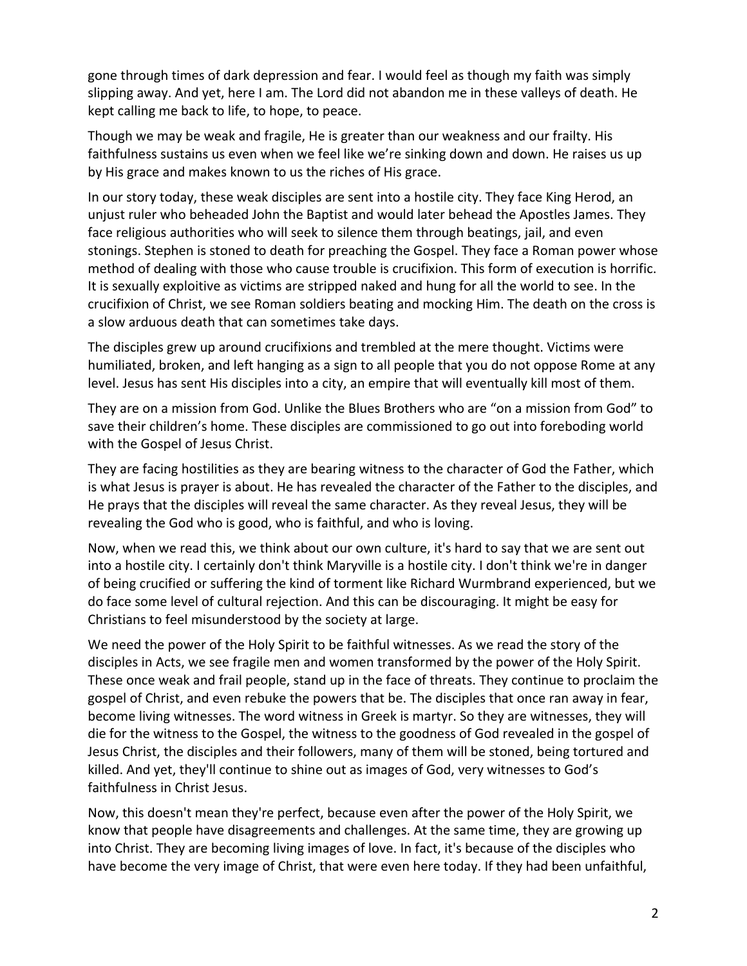gone through times of dark depression and fear. I would feel as though my faith was simply slipping away. And yet, here I am. The Lord did not abandon me in these valleys of death. He kept calling me back to life, to hope, to peace.

Though we may be weak and fragile, He is greater than our weakness and our frailty. His faithfulness sustains us even when we feel like we're sinking down and down. He raises us up by His grace and makes known to us the riches of His grace.

In our story today, these weak disciples are sent into a hostile city. They face King Herod, an unjust ruler who beheaded John the Baptist and would later behead the Apostles James. They face religious authorities who will seek to silence them through beatings, jail, and even stonings. Stephen is stoned to death for preaching the Gospel. They face a Roman power whose method of dealing with those who cause trouble is crucifixion. This form of execution is horrific. It is sexually exploitive as victims are stripped naked and hung for all the world to see. In the crucifixion of Christ, we see Roman soldiers beating and mocking Him. The death on the cross is a slow arduous death that can sometimes take days.

The disciples grew up around crucifixions and trembled at the mere thought. Victims were humiliated, broken, and left hanging as a sign to all people that you do not oppose Rome at any level. Jesus has sent His disciples into a city, an empire that will eventually kill most of them.

They are on a mission from God. Unlike the Blues Brothers who are "on a mission from God" to save their children's home. These disciples are commissioned to go out into foreboding world with the Gospel of Jesus Christ.

They are facing hostilities as they are bearing witness to the character of God the Father, which is what Jesus is prayer is about. He has revealed the character of the Father to the disciples, and He prays that the disciples will reveal the same character. As they reveal Jesus, they will be revealing the God who is good, who is faithful, and who is loving.

Now, when we read this, we think about our own culture, it's hard to say that we are sent out into a hostile city. I certainly don't think Maryville is a hostile city. I don't think we're in danger of being crucified or suffering the kind of torment like Richard Wurmbrand experienced, but we do face some level of cultural rejection. And this can be discouraging. It might be easy for Christians to feel misunderstood by the society at large.

We need the power of the Holy Spirit to be faithful witnesses. As we read the story of the disciples in Acts, we see fragile men and women transformed by the power of the Holy Spirit. These once weak and frail people, stand up in the face of threats. They continue to proclaim the gospel of Christ, and even rebuke the powers that be. The disciples that once ran away in fear, become living witnesses. The word witness in Greek is martyr. So they are witnesses, they will die for the witness to the Gospel, the witness to the goodness of God revealed in the gospel of Jesus Christ, the disciples and their followers, many of them will be stoned, being tortured and killed. And yet, they'll continue to shine out as images of God, very witnesses to God's faithfulness in Christ Jesus.

Now, this doesn't mean they're perfect, because even after the power of the Holy Spirit, we know that people have disagreements and challenges. At the same time, they are growing up into Christ. They are becoming living images of love. In fact, it's because of the disciples who have become the very image of Christ, that were even here today. If they had been unfaithful,